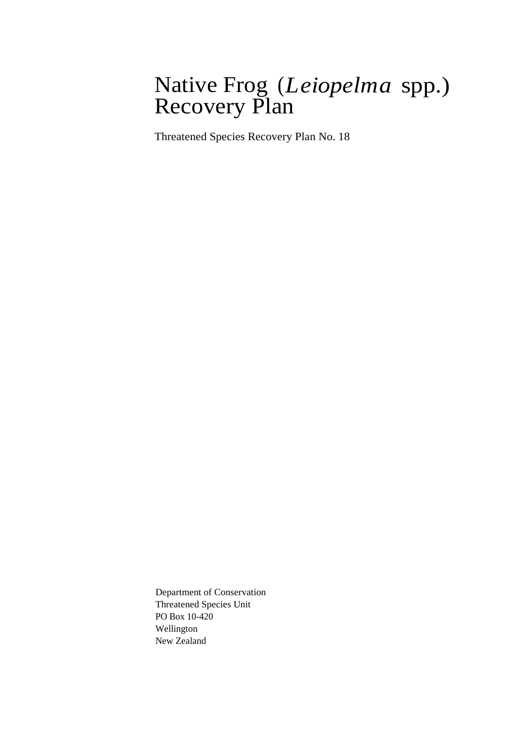### Native Frog (*Leiopelma* spp.) Recovery Plan

Threatened Species Recovery Plan No. 18

Department of Conservation Threatened Species Unit PO Box 10-420 Wellington New Zealand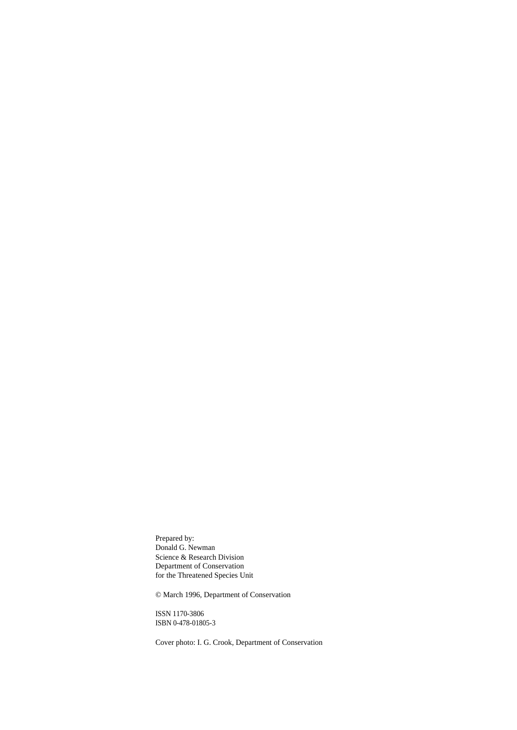Prepared by: Donald G. Newman Science & Research Division Department of Conservation for the Threatened Species Unit

© March 1996, Department of Conservation

ISSN 1170-3806 ISBN 0-478-01805-3

Cover photo: I. G. Crook, Department of Conservation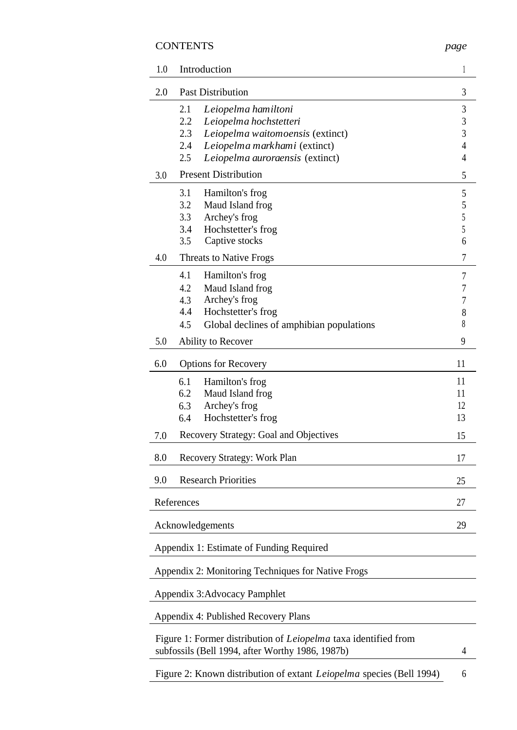#### CONTENTS *page*

| 1.0              | Introduction                                                                |                |  |  |
|------------------|-----------------------------------------------------------------------------|----------------|--|--|
| 2.0              | <b>Past Distribution</b>                                                    |                |  |  |
|                  | 2.1<br>Leiopelma hamiltoni                                                  | $\mathfrak{Z}$ |  |  |
|                  | 2.2<br>Leiopelma hochstetteri                                               | $\mathfrak{Z}$ |  |  |
|                  | 2.3<br>Leiopelma waitomoensis (extinct)                                     | $\mathfrak{Z}$ |  |  |
|                  | 2.4<br>Leiopelma markhami (extinct)                                         | $\overline{4}$ |  |  |
|                  | 2.5<br>Leiopelma auroraensis (extinct)                                      | $\overline{4}$ |  |  |
| 3.0              | <b>Present Distribution</b>                                                 | 5              |  |  |
|                  | 3.1<br>Hamilton's frog                                                      | 5              |  |  |
|                  | 3.2<br>Maud Island frog                                                     | 5              |  |  |
|                  | 3.3                                                                         | $\sqrt{5}$     |  |  |
|                  | Archey's frog                                                               |                |  |  |
|                  | Hochstetter's frog<br>3.4                                                   | $\sqrt{5}$     |  |  |
|                  | Captive stocks<br>3.5                                                       | 6              |  |  |
| 4.0              | <b>Threats to Native Frogs</b>                                              | 7              |  |  |
|                  | 4.1<br>Hamilton's frog                                                      | 7              |  |  |
|                  | 4.2<br>Maud Island frog                                                     | 7              |  |  |
|                  | Archey's frog<br>4.3                                                        | $\overline{7}$ |  |  |
|                  | 4.4<br>Hochstetter's frog                                                   | $\,8\,$        |  |  |
|                  | 4.5<br>Global declines of amphibian populations                             | 8              |  |  |
| 5.0              | Ability to Recover                                                          |                |  |  |
| 6.0              | <b>Options for Recovery</b>                                                 |                |  |  |
|                  | 6.1<br>Hamilton's frog                                                      | 11             |  |  |
|                  | 6.2<br>Maud Island frog                                                     | 11             |  |  |
|                  |                                                                             | 12             |  |  |
|                  | Archey's frog<br>6.3                                                        |                |  |  |
|                  | 6.4<br>Hochstetter's frog                                                   | 13             |  |  |
| 7.0              | Recovery Strategy: Goal and Objectives                                      | 15             |  |  |
| 8.0              | Recovery Strategy: Work Plan                                                | 17             |  |  |
| 9.0              | <b>Research Priorities</b>                                                  | 25             |  |  |
|                  | References                                                                  | 27             |  |  |
| Acknowledgements |                                                                             |                |  |  |
|                  |                                                                             | 29             |  |  |
|                  | Appendix 1: Estimate of Funding Required                                    |                |  |  |
|                  | Appendix 2: Monitoring Techniques for Native Frogs                          |                |  |  |
|                  | <b>Appendix 3:Advocacy Pamphlet</b>                                         |                |  |  |
|                  | Appendix 4: Published Recovery Plans                                        |                |  |  |
|                  | Figure 1: Former distribution of <i>Leiopelma</i> taxa identified from      |                |  |  |
|                  | subfossils (Bell 1994, after Worthy 1986, 1987b)                            | 4              |  |  |
|                  | Figure 2: Known distribution of extant <i>Leiopelma</i> species (Bell 1994) | 6              |  |  |
|                  |                                                                             |                |  |  |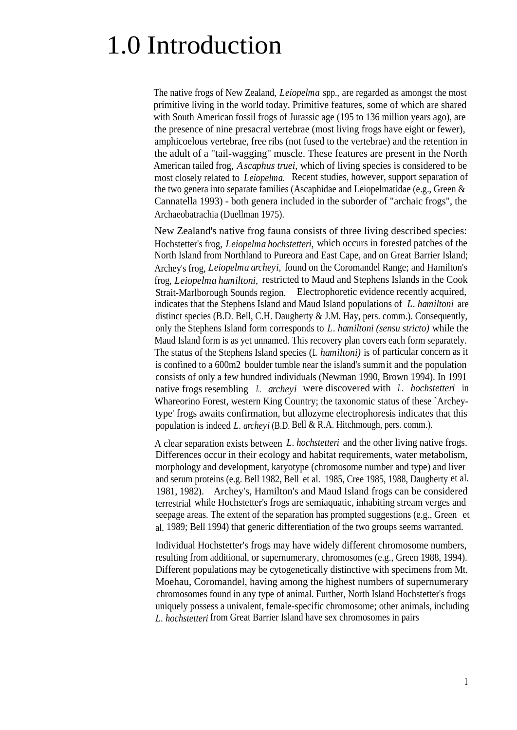## 1.0 Introduction

The native frogs of New Zealand, *Leiopelma* spp., are regarded as amongst the most primitive living in the world today. Primitive features, some of which are shared with South American fossil frogs of Jurassic age (195 to 136 million years ago), are the presence of nine presacral vertebrae (most living frogs have eight or fewer), amphicoelous vertebrae, free ribs (not fused to the vertebrae) and the retention in the adult of a "tail-wagging" muscle. These features are present in the North American tailed frog, *Ascaphus truei,* which of living species is considered to be most closely related to *Leiopelma.* Recent studies, however, support separation of the two genera into separate families (Ascaphidae and Leiopelmatidae (e.g., Green & Cannatella 1993) - both genera included in the suborder of "archaic frogs", the Archaeobatrachia (Duellman 1975).

New Zealand's native frog fauna consists of three living described species: Hochstetter's frog, *Leiopelma hochstetteri,* which occurs in forested patches of the North Island from Northland to Pureora and East Cape, and on Great Barrier Island; Archey's frog, *Leiopelma archeyi,* found on the Coromandel Range; and Hamilton's frog, *Leiopelma hamiltoni,* restricted to Maud and Stephens Islands in the Cook Strait-Marlborough Sounds region. Electrophoretic evidence recently acquired, indicates that the Stephens Island and Maud Island populations of *L. hamiltoni* are distinct species (B.D. Bell, C.H. Daugherty & J.M. Hay, pers. comm.). Consequently, only the Stephens Island form corresponds to *L. hamiltoni (sensu stricto)* while the Maud Island form is as yet unnamed. This recovery plan covers each form separately. The status of the Stephens Island species (*L. hamiltoni)* is of particular concern as it is confined to a 600m2 boulder tumble near the island's summit and the population consists of only a few hundred individuals (Newman 1990, Brown 1994). In 1991 native frogs resembling *L. archeyi* were discovered with *L. hochstetteri* in Whareorino Forest, western King Country; the taxonomic status of these `Archeytype' frogs awaits confirmation, but allozyme electrophoresis indicates that this population is indeed *L. archeyi* (B.D. Bell & R.A. Hitchmough, pers. comm.).

A clear separation exists between *L. hochstetteri* and the other living native frogs. Differences occur in their ecology and habitat requirements, water metabolism, morphology and development, karyotype (chromosome number and type) and liver and serum proteins (e.g. Bell 1982, Bell et al. 1985, Cree 1985, 1988, Daugherty et al. 1981, 1982). Archey's, Hamilton's and Maud Island frogs can be considered terrestrial while Hochstetter's frogs are semiaquatic, inhabiting stream verges and seepage areas. The extent of the separation has prompted suggestions (e.g., Green et al. 1989; Bell 1994) that generic differentiation of the two groups seems warranted.

Individual Hochstetter's frogs may have widely different chromosome numbers, resulting from additional, or supernumerary, chromosomes (e.g., Green 1988, 1994). Different populations may be cytogenetically distinctive with specimens from Mt. Moehau, Coromandel, having among the highest numbers of supernumerary chromosomes found in any type of animal. Further, North Island Hochstetter's frogs uniquely possess a univalent, female-specific chromosome; other animals, including *L. hochstetteri* from Great Barrier Island have sex chromosomes in pairs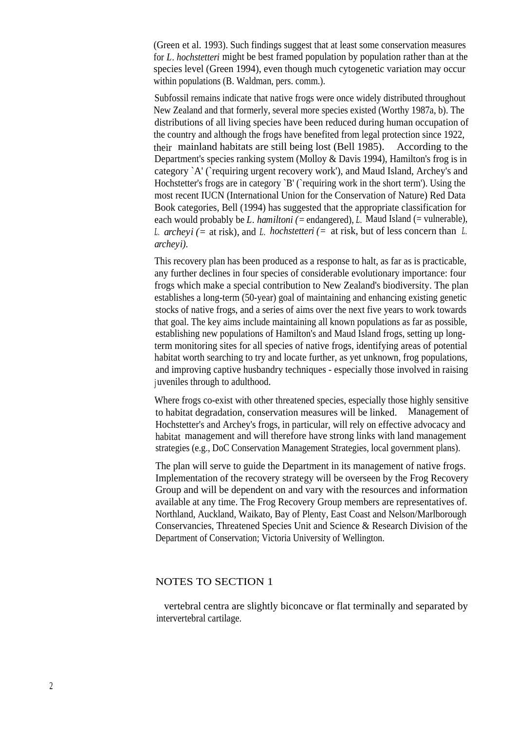(Green et al. 1993). Such findings suggest that at least some conservation measures for *L. hochstetteri* might be best framed population by population rather than at the species level (Green 1994), even though much cytogenetic variation may occur within populations (B. Waldman, pers. comm.).

Subfossil remains indicate that native frogs were once widely distributed throughout New Zealand and that formerly, several more species existed (Worthy 1987a, b). The distributions of all living species have been reduced during human occupation of the country and although the frogs have benefited from legal protection since 1922, their mainland habitats are still being lost (Bell 1985). According to the Department's species ranking system (Molloy & Davis 1994), Hamilton's frog is in category `A' (`requiring urgent recovery work'), and Maud Island, Archey's and Hochstetter's frogs are in category 'B' ('requiring work in the short term'). Using the most recent IUCN (International Union for the Conservation of Nature) Red Data Book categories, Bell (1994) has suggested that the appropriate classification for each would probably be *L. hamiltoni* (= endangered), *L.* Maud Island (= vulnerable), *L. archeyi (=* at risk), and *L. hochstetteri (=* at risk, but of less concern than *L. archeyi).*

This recovery plan has been produced as a response to halt, as far as is practicable, any further declines in four species of considerable evolutionary importance: four frogs which make a special contribution to New Zealand's biodiversity. The plan establishes a long-term (50-year) goal of maintaining and enhancing existing genetic stocks of native frogs, and a series of aims over the next five years to work towards that goal. The key aims include maintaining all known populations as far as possible, establishing new populations of Hamilton's and Maud Island frogs, setting up longterm monitoring sites for all species of native frogs, identifying areas of potential habitat worth searching to try and locate further, as yet unknown, frog populations, and improving captive husbandry techniques - especially those involved in raising juveniles through to adulthood.

Where frogs co-exist with other threatened species, especially those highly sensitive to habitat degradation, conservation measures will be linked. Management of Hochstetter's and Archey's frogs, in particular, will rely on effective advocacy and habitat management and will therefore have strong links with land management strategies (e.g., DoC Conservation Management Strategies, local government plans).

The plan will serve to guide the Department in its management of native frogs. Implementation of the recovery strategy will be overseen by the Frog Recovery Group and will be dependent on and vary with the resources and information available at any time. The Frog Recovery Group members are representatives of. Northland, Auckland, Waikato, Bay of Plenty, East Coast and Nelson/Marlborough Conservancies, Threatened Species Unit and Science & Research Division of the Department of Conservation; Victoria University of Wellington.

#### NOTES TO SECTION 1

vertebral centra are slightly biconcave or flat terminally and separated by intervertebral cartilage.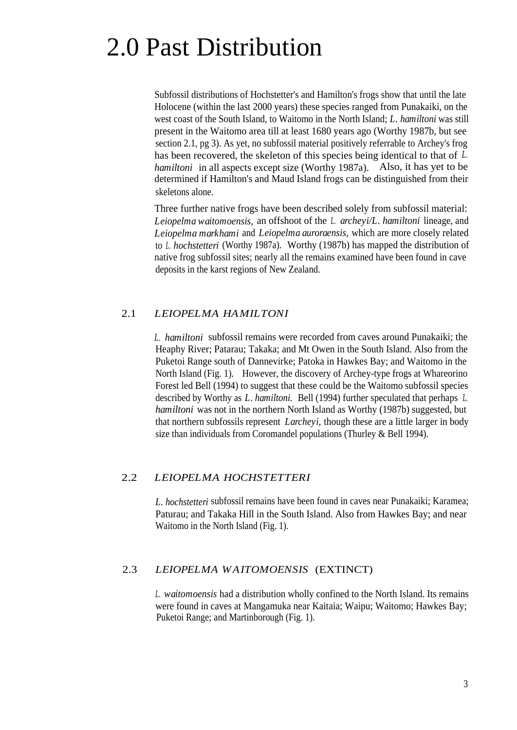## 2.0 Past Distribution

Subfossil distributions of Hochstetter's and Hamilton's frogs show that until the late Holocene (within the last 2000 years) these species ranged from Punakaiki, on the west coast of the South Island, to Waitomo in the North Island; *L. hamiltoni* was still present in the Waitomo area till at least 1680 years ago (Worthy 1987b, but see section 2.1, pg 3). As yet, no subfossil material positively referrable to Archey's frog has been recovered, the skeleton of this species being identical to that of *L. hamiltoni* in all aspects except size (Worthy 1987a). Also, it has yet to be determined if Hamilton's and Maud Island frogs can be distinguished from their skeletons alone.

Three further native frogs have been described solely from subfossil material: *Leiopelma waitomoensis,* an offshoot of the *L. archeyi/L. hamiltoni* lineage, and *Leiopelma markhami* and *Leiopelma auroraensis,* which are more closely related to *L. hochstetteri* (Worthy 1987a). Worthy (1987b) has mapped the distribution of native frog subfossil sites; nearly all the remains examined have been found in cave deposits in the karst regions of New Zealand.

#### 2.1 *LEIOPELMA HAMILTONI*

*L. hamiltoni* subfossil remains were recorded from caves around Punakaiki; the Heaphy River; Patarau; Takaka; and Mt Owen in the South Island. Also from the Puketoi Range south of Dannevirke; Patoka in Hawkes Bay; and Waitomo in the North Island (Fig. 1). However, the discovery of Archey-type frogs at Whareorino Forest led Bell (1994) to suggest that these could be the Waitomo subfossil species described by Worthy as *L. hamiltoni.* Bell (1994) further speculated that perhaps *L. hamiltoni* was not in the northern North Island as Worthy (1987b) suggested, but that northern subfossils represent *Larcheyi,* though these are a little larger in body size than individuals from Coromandel populations (Thurley & Bell 1994).

#### 2.2 *LEIOPELMA HOCHSTETTERI*

*L. hochstetteri* subfossil remains have been found in caves near Punakaiki; Karamea; Paturau; and Takaka Hill in the South Island. Also from Hawkes Bay; and near Waitomo in the North Island (Fig. 1).

#### 2.3 *LEIOPELMA WAITOMOENSIS* (EXTINCT)

*L. waitomoensis* had a distribution wholly confined to the North Island. Its remains were found in caves at Mangamuka near Kaitaia; Waipu; Waitomo; Hawkes Bay; Puketoi Range; and Martinborough (Fig. 1).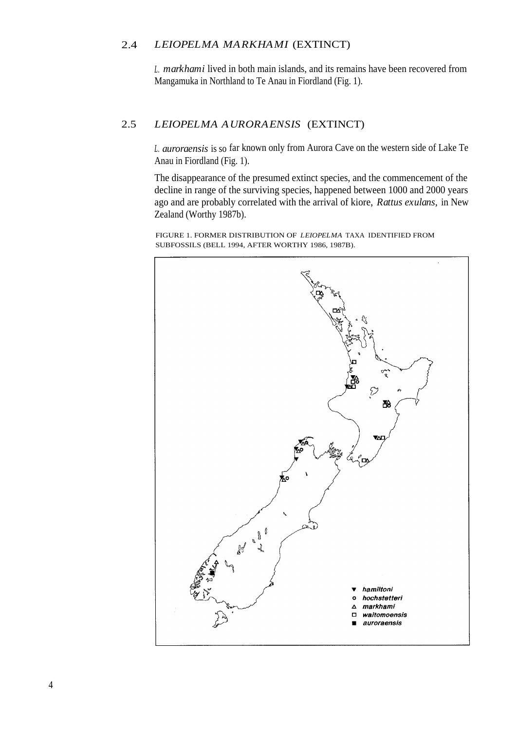#### 2.4 *LEIOPELMA MARKHAMI* (EXTINCT)

*L. markhami* lived in both main islands, and its remains have been recovered from Mangamuka in Northland to Te Anau in Fiordland (Fig. 1).

#### 2.5 *LEIOPELMA AURORAENSIS* (EXTINCT)

*L. auroraensis* is so far known only from Aurora Cave on the western side of Lake Te Anau in Fiordland (Fig. 1).

The disappearance of the presumed extinct species, and the commencement of the decline in range of the surviving species, happened between 1000 and 2000 years ago and are probably correlated with the arrival of kiore, *Rattus exulans,* in New Zealand (Worthy 1987b).

FIGURE 1. FORMER DISTRIBUTION OF *LEIOPELMA* TAXA IDENTIFIED FROM SUBFOSSILS (BELL 1994, AFTER WORTHY 1986, 1987B).

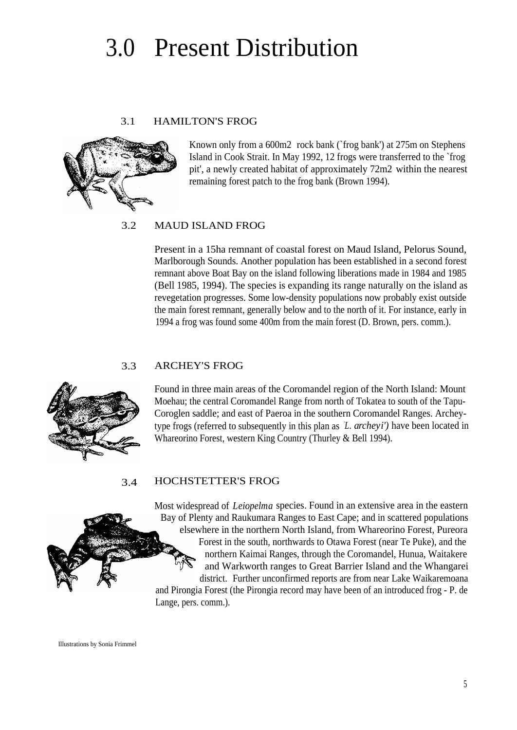## 3.0 Present Distribution

#### 3.1 HAMILTON'S FROG



Known only from a 600m2 rock bank (`frog bank') at 275m on Stephens Island in Cook Strait. In May 1992, 12 frogs were transferred to the `frog pit', a newly created habitat of approximately 72m2 within the nearest remaining forest patch to the frog bank (Brown 1994).

#### 3.2 MAUD ISLAND FROG

Present in a 15ha remnant of coastal forest on Maud Island, Pelorus Sound, Marlborough Sounds. Another population has been established in a second forest remnant above Boat Bay on the island following liberations made in 1984 and 1985 (Bell 1985, 1994). The species is expanding its range naturally on the island as revegetation progresses. Some low-density populations now probably exist outside the main forest remnant, generally below and to the north of it. For instance, early in 1994 a frog was found some 400m from the main forest (D. Brown, pers. comm.).

#### 3.3 ARCHEY'S FROG



Found in three main areas of the Coromandel region of the North Island: Mount Moehau; the central Coromandel Range from north of Tokatea to south of the Tapu-Coroglen saddle; and east of Paeroa in the southern Coromandel Ranges. Archeytype frogs (referred to subsequently in this plan as *`L. archeyi')* have been located in Whareorino Forest, western King Country (Thurley & Bell 1994).

#### 3.4 HOCHSTETTER'S FROG

Most widespread of *Leiopelma* species. Found in an extensive area in the eastern Bay of Plenty and Raukumara Ranges to East Cape; and in scattered populations elsewhere in the northern North Island, from Whareorino Forest, Pureora Forest in the south, northwards to Otawa Forest (near Te Puke), and the northern Kaimai Ranges, through the Coromandel, Hunua, Waitakere and Warkworth ranges to Great Barrier Island and the Whangarei district. Further unconfirmed reports are from near Lake Waikaremoana and Pirongia Forest (the Pirongia record may have been of an introduced frog - P. de Lange, pers. comm.).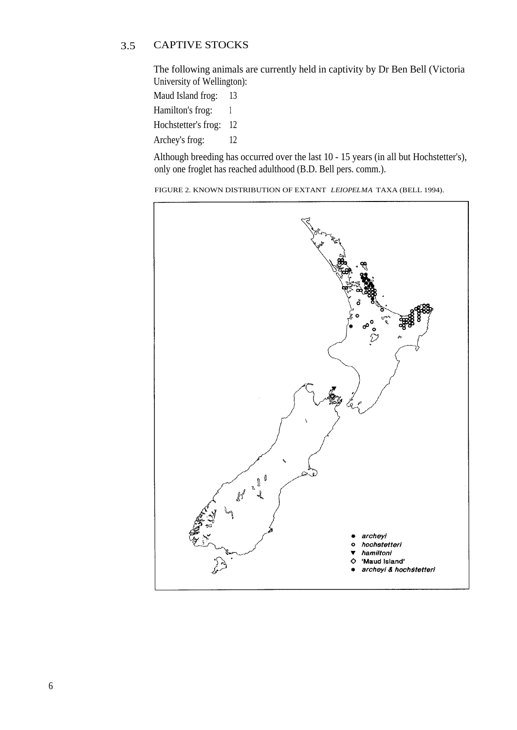#### 3.5 CAPTIVE STOCKS

The following animals are currently held in captivity by Dr Ben Bell (Victoria University of Wellington):

Maud Island frog: 13

- Hamilton's frog: 1
- Hochstetter's frog: 12
- Archey's frog: 12

Although breeding has occurred over the last 10 - 15 years (in all but Hochstetter's), only one froglet has reached adulthood (B.D. Bell pers. comm.).

FIGURE 2. KNOWN DISTRIBUTION OF EXTANT *LEIOPELMA* TAXA (BELL 1994).

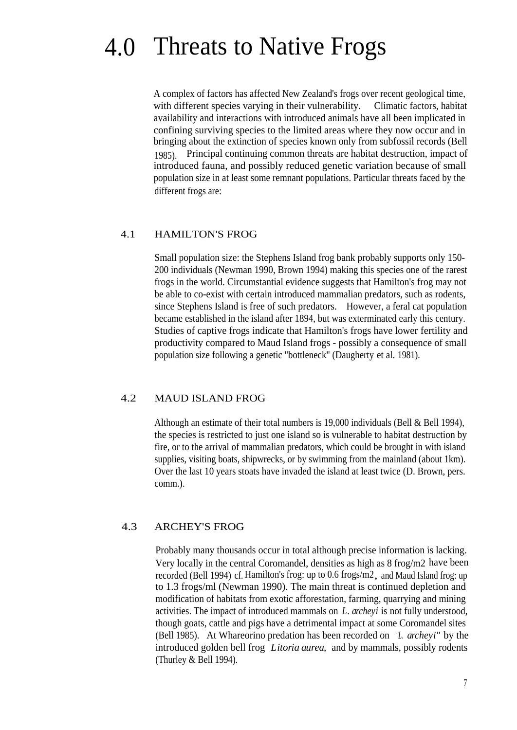### 4.0 Threats to Native Frogs

A complex of factors has affected New Zealand's frogs over recent geological time, with different species varying in their vulnerability. Climatic factors, habitat availability and interactions with introduced animals have all been implicated in confining surviving species to the limited areas where they now occur and in bringing about the extinction of species known only from subfossil records (Bell 1985). Principal continuing common threats are habitat destruction, impact of introduced fauna, and possibly reduced genetic variation because of small population size in at least some remnant populations. Particular threats faced by the different frogs are:

#### 4.1 HAMILTON'S FROG

Small population size: the Stephens Island frog bank probably supports only 150- 200 individuals (Newman 1990, Brown 1994) making this species one of the rarest frogs in the world. Circumstantial evidence suggests that Hamilton's frog may not be able to co-exist with certain introduced mammalian predators, such as rodents, since Stephens Island is free of such predators. However, a feral cat population became established in the island after 1894, but was exterminated early this century. Studies of captive frogs indicate that Hamilton's frogs have lower fertility and productivity compared to Maud Island frogs - possibly a consequence of small population size following a genetic "bottleneck" (Daugherty et al. 1981).

#### 4.2 MAUD ISLAND FROG

Although an estimate of their total numbers is 19,000 individuals (Bell & Bell 1994), the species is restricted to just one island so is vulnerable to habitat destruction by fire, or to the arrival of mammalian predators, which could be brought in with island supplies, visiting boats, shipwrecks, or by swimming from the mainland (about 1km). Over the last 10 years stoats have invaded the island at least twice (D. Brown, pers. comm.).

#### 4.3 ARCHEY'S FROG

Probably many thousands occur in total although precise information is lacking. Very locally in the central Coromandel, densities as high as 8 frog/m2 have been recorded (Bell 1994) cf. Hamilton's frog: up to 0.6 frogs/m2, and Maud Island frog: up to 1.3 frogs/ml (Newman 1990). The main threat is continued depletion and modification of habitats from exotic afforestation, farming, quarrying and mining activities. The impact of introduced mammals on *L. archeyi* is not fully understood, though goats, cattle and pigs have a detrimental impact at some Coromandel sites (Bell 1985). At Whareorino predation has been recorded on *"L. archeyi"* by the introduced golden bell frog *Litoria aurea,* and by mammals, possibly rodents (Thurley & Bell 1994).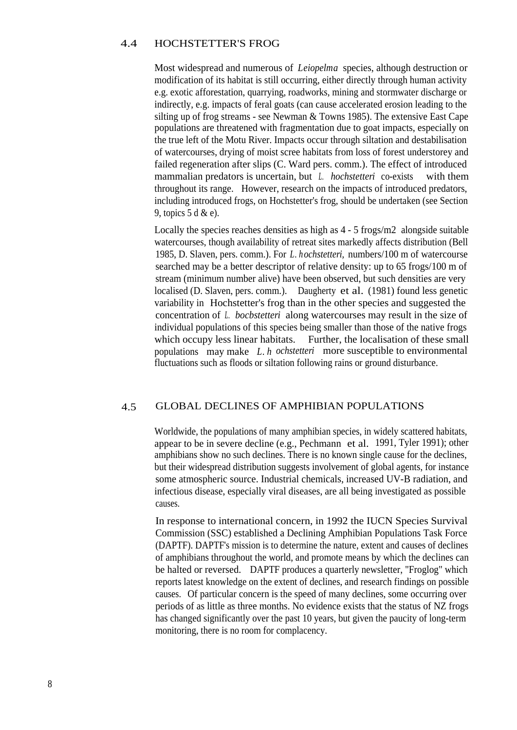#### 4.4 HOCHSTETTER'S FROG

Most widespread and numerous of *Leiopelma* species, although destruction or modification of its habitat is still occurring, either directly through human activity e.g. exotic afforestation, quarrying, roadworks, mining and stormwater discharge or indirectly, e.g. impacts of feral goats (can cause accelerated erosion leading to the silting up of frog streams - see Newman & Towns 1985). The extensive East Cape populations are threatened with fragmentation due to goat impacts, especially on the true left of the Motu River. Impacts occur through siltation and destabilisation of watercourses, drying of moist scree habitats from loss of forest understorey and failed regeneration after slips (C. Ward pers. comm.). The effect of introduced mammalian predators is uncertain, but *L. hochstetteri* co-exists with them throughout its range. However, research on the impacts of introduced predators, including introduced frogs, on Hochstetter's frog, should be undertaken (see Section 9, topics 5 d & e).

Locally the species reaches densities as high as 4 - 5 frogs/m2 alongside suitable watercourses, though availability of retreat sites markedly affects distribution (Bell 1985, D. Slaven, pers. comm.). For *L. hochstetteri,* numbers/100 m of watercourse searched may be a better descriptor of relative density: up to 65 frogs/100 m of stream (minimum number alive) have been observed, but such densities are very localised (D. Slaven, pers. comm.). Daugherty et al. (1981) found less genetic variability in Hochstetter's frog than in the other species and suggested the concentration of *L. bocbstetteri* along watercourses may result in the size of individual populations of this species being smaller than those of the native frogs which occupy less linear habitats. Further, the localisation of these small populations may make *L. h ochstetteri* more susceptible to environmental fluctuations such as floods or siltation following rains or ground disturbance.

#### 4.5 GLOBAL DECLINES OF AMPHIBIAN POPULATIONS

Worldwide, the populations of many amphibian species, in widely scattered habitats, appear to be in severe decline (e.g., Pechmann et al. 1991, Tyler 1991); other amphibians show no such declines. There is no known single cause for the declines, but their widespread distribution suggests involvement of global agents, for instance some atmospheric source. Industrial chemicals, increased UV-B radiation, and infectious disease, especially viral diseases, are all being investigated as possible causes.

In response to international concern, in 1992 the IUCN Species Survival Commission (SSC) established a Declining Amphibian Populations Task Force (DAPTF). DAPTF's mission is to determine the nature, extent and causes of declines of amphibians throughout the world, and promote means by which the declines can be halted or reversed. DAPTF produces a quarterly newsletter, "Froglog" which reports latest knowledge on the extent of declines, and research findings on possible causes. Of particular concern is the speed of many declines, some occurring over periods of as little as three months. No evidence exists that the status of NZ frogs has changed significantly over the past 10 years, but given the paucity of long-term monitoring, there is no room for complacency.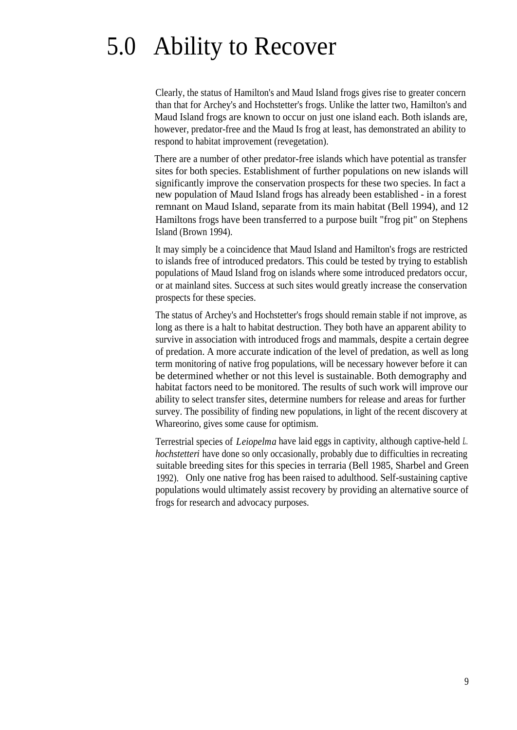## 5.0 Ability to Recover

Clearly, the status of Hamilton's and Maud Island frogs gives rise to greater concern than that for Archey's and Hochstetter's frogs. Unlike the latter two, Hamilton's and Maud Island frogs are known to occur on just one island each. Both islands are, however, predator-free and the Maud Is frog at least, has demonstrated an ability to respond to habitat improvement (revegetation).

There are a number of other predator-free islands which have potential as transfer sites for both species. Establishment of further populations on new islands will significantly improve the conservation prospects for these two species. In fact a new population of Maud Island frogs has already been established - in a forest remnant on Maud Island, separate from its main habitat (Bell 1994), and 12 Hamiltons frogs have been transferred to a purpose built "frog pit" on Stephens Island (Brown 1994).

It may simply be a coincidence that Maud Island and Hamilton's frogs are restricted to islands free of introduced predators. This could be tested by trying to establish populations of Maud Island frog on islands where some introduced predators occur, or at mainland sites. Success at such sites would greatly increase the conservation prospects for these species.

The status of Archey's and Hochstetter's frogs should remain stable if not improve, as long as there is a halt to habitat destruction. They both have an apparent ability to survive in association with introduced frogs and mammals, despite a certain degree of predation. A more accurate indication of the level of predation, as well as long term monitoring of native frog populations, will be necessary however before it can be determined whether or not this level is sustainable. Both demography and habitat factors need to be monitored. The results of such work will improve our ability to select transfer sites, determine numbers for release and areas for further survey. The possibility of finding new populations, in light of the recent discovery at Whareorino, gives some cause for optimism.

Terrestrial species of *Leiopelma* have laid eggs in captivity, although captive-held *L. hochstetteri* have done so only occasionally, probably due to difficulties in recreating suitable breeding sites for this species in terraria (Bell 1985, Sharbel and Green 1992). Only one native frog has been raised to adulthood. Self-sustaining captive populations would ultimately assist recovery by providing an alternative source of frogs for research and advocacy purposes.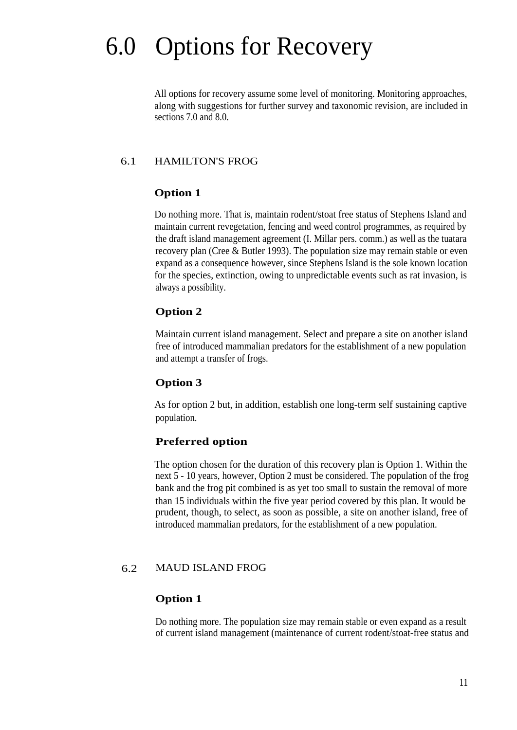## 6.0 Options for Recovery

All options for recovery assume some level of monitoring. Monitoring approaches, along with suggestions for further survey and taxonomic revision, are included in sections 7.0 and 8.0.

#### 6.1 HAMILTON'S FROG

#### **Option 1**

Do nothing more. That is, maintain rodent/stoat free status of Stephens Island and maintain current revegetation, fencing and weed control programmes, as required by the draft island management agreement (I. Millar pers. comm.) as well as the tuatara recovery plan (Cree & Butler 1993). The population size may remain stable or even expand as a consequence however, since Stephens Island is the sole known location for the species, extinction, owing to unpredictable events such as rat invasion, is always a possibility.

#### **Option 2**

Maintain current island management. Select and prepare a site on another island free of introduced mammalian predators for the establishment of a new population and attempt a transfer of frogs.

#### **Option 3**

As for option 2 but, in addition, establish one long-term self sustaining captive population.

#### **Preferred option**

The option chosen for the duration of this recovery plan is Option 1. Within the next 5 - 10 years, however, Option 2 must be considered. The population of the frog bank and the frog pit combined is as yet too small to sustain the removal of more than 15 individuals within the five year period covered by this plan. It would be prudent, though, to select, as soon as possible, a site on another island, free of introduced mammalian predators, for the establishment of a new population.

#### 6.2 MAUD ISLAND FROG

#### **Option 1**

Do nothing more. The population size may remain stable or even expand as a result of current island management (maintenance of current rodent/stoat-free status and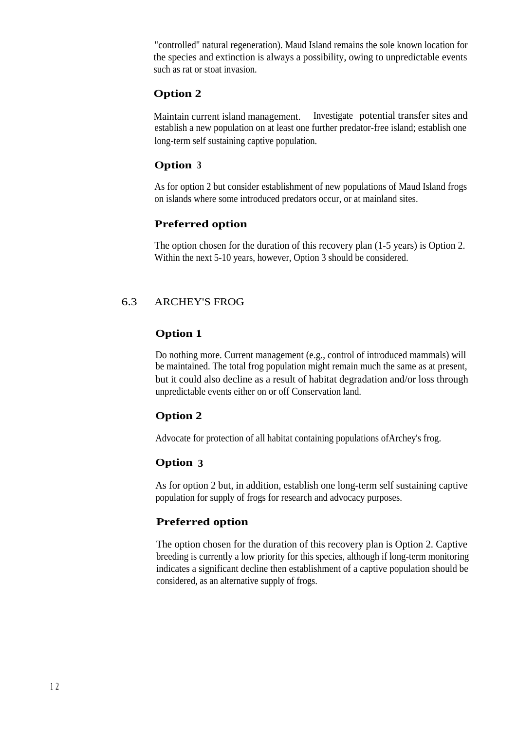"controlled" natural regeneration). Maud Island remains the sole known location for the species and extinction is always a possibility, owing to unpredictable events such as rat or stoat invasion.

#### **Option 2**

Maintain current island management. Investigate potential transfer sites and establish a new population on at least one further predator-free island; establish one long-term self sustaining captive population.

#### **Option <sup>3</sup>**

As for option 2 but consider establishment of new populations of Maud Island frogs on islands where some introduced predators occur, or at mainland sites.

#### **Preferred option**

The option chosen for the duration of this recovery plan (1-5 years) is Option 2. Within the next 5-10 years, however, Option 3 should be considered.

#### 6.3 ARCHEY'S FROG

#### **Option 1**

Do nothing more. Current management (e.g., control of introduced mammals) will be maintained. The total frog population might remain much the same as at present, but it could also decline as a result of habitat degradation and/or loss through unpredictable events either on or off Conservation land.

#### **Option 2**

Advocate for protection of all habitat containing populations ofArchey's frog.

#### **Option 3**

As for option 2 but, in addition, establish one long-term self sustaining captive population for supply of frogs for research and advocacy purposes.

#### **Preferred option**

The option chosen for the duration of this recovery plan is Option 2. Captive breeding is currently a low priority for this species, although if long-term monitoring indicates a significant decline then establishment of a captive population should be considered, as an alternative supply of frogs.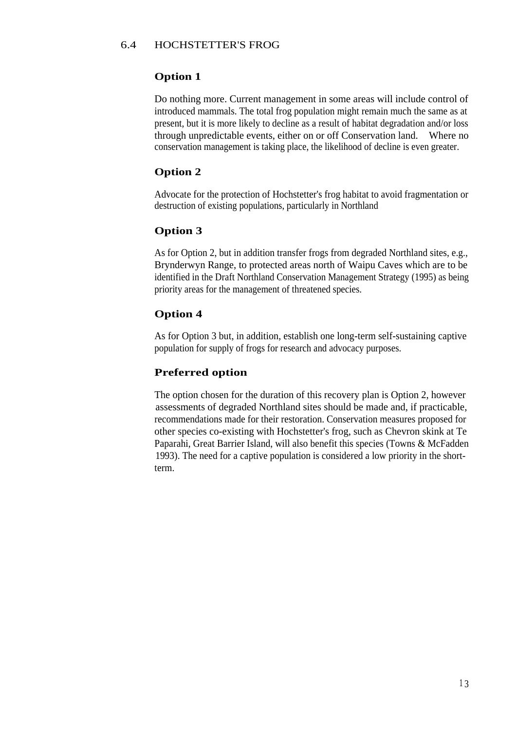#### 6.4 HOCHSTETTER'S FROG

#### **Option 1**

Do nothing more. Current management in some areas will include control of introduced mammals. The total frog population might remain much the same as at present, but it is more likely to decline as a result of habitat degradation and/or loss through unpredictable events, either on or off Conservation land. Where no conservation management is taking place, the likelihood of decline is even greater.

#### **Option 2**

Advocate for the protection of Hochstetter's frog habitat to avoid fragmentation or destruction of existing populations, particularly in Northland

#### **Option 3**

As for Option 2, but in addition transfer frogs from degraded Northland sites, e.g., Brynderwyn Range, to protected areas north of Waipu Caves which are to be identified in the Draft Northland Conservation Management Strategy (1995) as being priority areas for the management of threatened species.

#### **Option 4**

As for Option 3 but, in addition, establish one long-term self-sustaining captive population for supply of frogs for research and advocacy purposes.

#### **Preferred option**

The option chosen for the duration of this recovery plan is Option 2, however assessments of degraded Northland sites should be made and, if practicable, recommendations made for their restoration. Conservation measures proposed for other species co-existing with Hochstetter's frog, such as Chevron skink at Te Paparahi, Great Barrier Island, will also benefit this species (Towns & McFadden 1993). The need for a captive population is considered a low priority in the shortterm.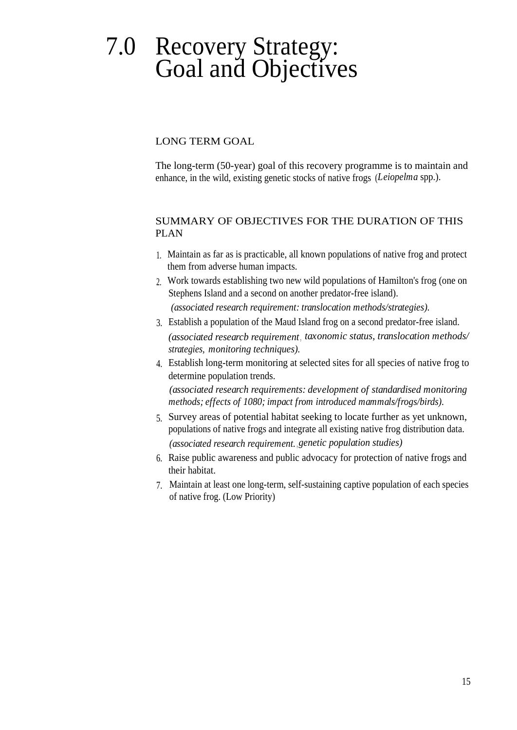### 7.0 Recovery Strategy: Goal and Objectives

LONG TERM GOAL

The long-term (50-year) goal of this recovery programme is to maintain and enhance, in the wild, existing genetic stocks of native frogs (*Leiopelma* spp.).

#### SUMMARY OF OBJECTIVES FOR THE DURATION OF THIS PLAN

- 1. Maintain as far as is practicable, all known populations of native frog and protect them from adverse human impacts.
- 2. Work towards establishing two new wild populations of Hamilton's frog (one on Stephens Island and a second on another predator-free island). *(associated research requirement: translocation methods/strategies).*
- 3. Establish a population of the Maud Island frog on a second predator-free island. *(associated researcb requirement, taxonomic status, translocation methods/ strategies, monitoring techniques).*
- 4. Establish long-term monitoring at selected sites for all species of native frog to determine population trends.

*(associated research requirements: development of standardised monitoring methods; effects of 1080; impact from introduced mammals/frogs/birds).*

- 5. Survey areas of potential habitat seeking to locate further as yet unknown, populations of native frogs and integrate all existing native frog distribution data. *(associated research requirement. , genetic population studies)*
- 6. Raise public awareness and public advocacy for protection of native frogs and their habitat.
- 7. Maintain at least one long-term, self-sustaining captive population of each species of native frog. (Low Priority)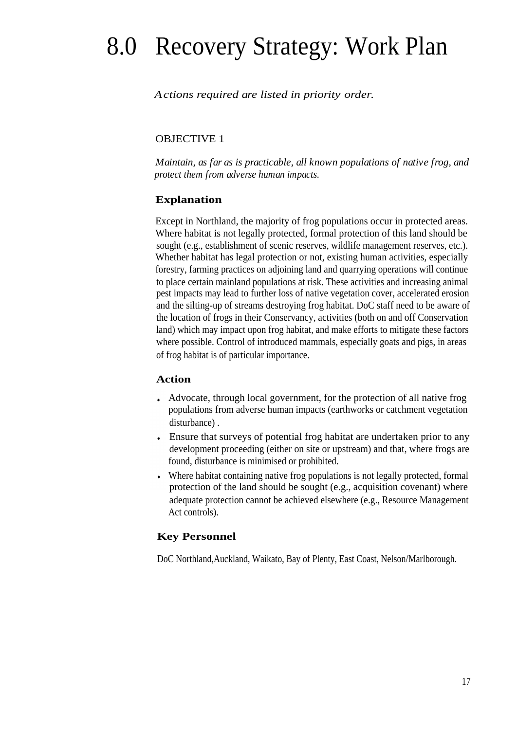## 8.0 Recovery Strategy: Work Plan

#### *Actions required are listed in priority order.*

#### OBJECTIVE 1

*Maintain, as far as is practicable, all known populations of native frog, and protect them from adverse human impacts.*

#### **Explanation**

Except in Northland, the majority of frog populations occur in protected areas. Where habitat is not legally protected, formal protection of this land should be sought (e.g., establishment of scenic reserves, wildlife management reserves, etc.). Whether habitat has legal protection or not, existing human activities, especially forestry, farming practices on adjoining land and quarrying operations will continue to place certain mainland populations at risk. These activities and increasing animal pest impacts may lead to further loss of native vegetation cover, accelerated erosion and the silting-up of streams destroying frog habitat. DoC staff need to be aware of the location of frogs in their Conservancy, activities (both on and off Conservation land) which may impact upon frog habitat, and make efforts to mitigate these factors where possible. Control of introduced mammals, especially goats and pigs, in areas of frog habitat is of particular importance.

#### **Action**

- Advocate, through local government, for the protection of all native frog populations from adverse human impacts (earthworks or catchment vegetation disturbance) .
- Ensure that surveys of potential frog habitat are undertaken prior to any development proceeding (either on site or upstream) and that, where frogs are found, disturbance is minimised or prohibited.
- Where habitat containing native frog populations is not legally protected, formal protection of the land should be sought (e.g., acquisition covenant) where adequate protection cannot be achieved elsewhere (e.g., Resource Management Act controls).

#### **Key Personnel**

DoC Northland,Auckland, Waikato, Bay of Plenty, East Coast, Nelson/Marlborough.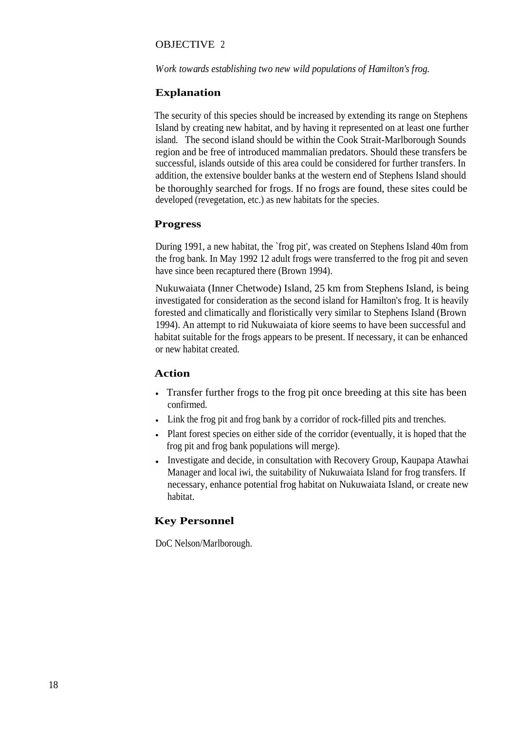#### OBJECTIVE 2

*Work towards establishing two new wild populations of Hamilton's frog.*

#### **Explanation**

The security of this species should be increased by extending its range on Stephens Island by creating new habitat, and by having it represented on at least one further island. The second island should be within the Cook Strait-Marlborough Sounds region and be free of introduced mammalian predators. Should these transfers be successful, islands outside of this area could be considered for further transfers. In addition, the extensive boulder banks at the western end of Stephens Island should be thoroughly searched for frogs. If no frogs are found, these sites could be developed (revegetation, etc.) as new habitats for the species.

#### **Progress**

During 1991, a new habitat, the `frog pit', was created on Stephens Island 40m from the frog bank. In May 1992 12 adult frogs were transferred to the frog pit and seven have since been recaptured there (Brown 1994).

Nukuwaiata (Inner Chetwode) Island, 25 km from Stephens Island, is being investigated for consideration as the second island for Hamilton's frog. It is heavily forested and climatically and floristically very similar to Stephens Island (Brown 1994). An attempt to rid Nukuwaiata of kiore seems to have been successful and habitat suitable for the frogs appears to be present. If necessary, it can be enhanced or new habitat created.

#### **Action**

- Transfer further frogs to the frog pit once breeding at this site has been confirmed.
- Link the frog pit and frog bank by a corridor of rock-filled pits and trenches.
- Plant forest species on either side of the corridor (eventually, it is hoped that the frog pit and frog bank populations will merge).
- Investigate and decide, in consultation with Recovery Group, Kaupapa Atawhai Manager and local iwi, the suitability of Nukuwaiata Island for frog transfers. If necessary, enhance potential frog habitat on Nukuwaiata Island, or create new habitat.

#### **Key Personnel**

DoC Nelson/Marlborough.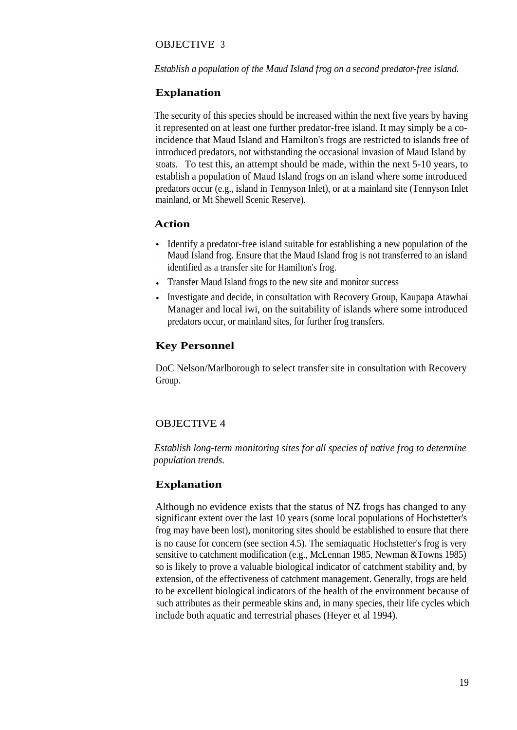#### OBJECTIVE 3

#### *Establish a population of the Maud Island frog on a second predator-free island.*

#### **Explanation**

The security of this species should be increased within the next five years by having it represented on at least one further predator-free island. It may simply be a coincidence that Maud Island and Hamilton's frogs are restricted to islands free of introduced predators, not withstanding the occasional invasion of Maud Island by stoats. To test this, an attempt should be made, within the next 5-10 years, to establish a population of Maud Island frogs on an island where some introduced predators occur (e.g., island in Tennyson Inlet), or at a mainland site (Tennyson Inlet mainland, or Mt Shewell Scenic Reserve).

#### **Action**

- Identify a predator-free island suitable for establishing a new population of the Maud Island frog. Ensure that the Maud Island frog is not transferred to an island identified as a transfer site for Hamilton's frog.
- Transfer Maud Island frogs to the new site and monitor success
- Investigate and decide, in consultation with Recovery Group, Kaupapa Atawhai Manager and local iwi, on the suitability of islands where some introduced predators occur, or mainland sites, for further frog transfers.

#### **Key Personnel**

DoC Nelson/Marlborough to select transfer site in consultation with Recovery Group.

#### OBJECTIVE 4

*Establish long-term monitoring sites for all species of native frog to determine population trends.*

#### **Explanation**

Although no evidence exists that the status of NZ frogs has changed to any significant extent over the last 10 years (some local populations of Hochstetter's frog may have been lost), monitoring sites should be established to ensure that there is no cause for concern (see section 4.5). The semiaquatic Hochstetter's frog is very sensitive to catchment modification (e.g., McLennan 1985, Newman &Towns 1985) so is likely to prove a valuable biological indicator of catchment stability and, by extension, of the effectiveness of catchment management. Generally, frogs are held to be excellent biological indicators of the health of the environment because of such attributes as their permeable skins and, in many species, their life cycles which include both aquatic and terrestrial phases (Heyer et al 1994).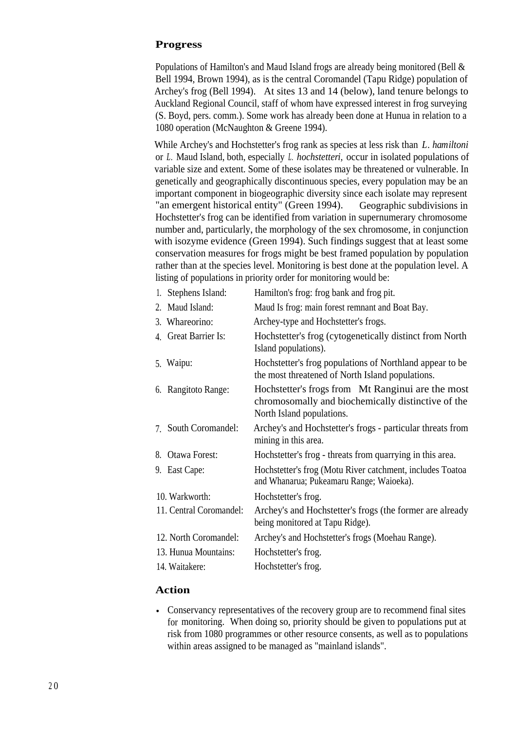#### **Progress**

Populations of Hamilton's and Maud Island frogs are already being monitored (Bell & Bell 1994, Brown 1994), as is the central Coromandel (Tapu Ridge) population of Archey's frog (Bell 1994). At sites 13 and 14 (below), land tenure belongs to Auckland Regional Council, staff of whom have expressed interest in frog surveying (S. Boyd, pers. comm.). Some work has already been done at Hunua in relation to a 1080 operation (McNaughton & Greene 1994).

While Archey's and Hochstetter's frog rank as species at less risk than *L. hamiltoni* or *L.* Maud Island, both, especially *L. hochstetteri,* occur in isolated populations of variable size and extent. Some of these isolates may be threatened or vulnerable. In genetically and geographically discontinuous species, every population may be an important component in biogeographic diversity since each isolate may represent "an emergent historical entity" (Green 1994). Geographic subdivisions in Hochstetter's frog can be identified from variation in supernumerary chromosome number and, particularly, the morphology of the sex chromosome, in conjunction with isozyme evidence (Green 1994). Such findings suggest that at least some conservation measures for frogs might be best framed population by population rather than at the species level. Monitoring is best done at the population level. A listing of populations in priority order for monitoring would be:

| 1. Stephens Island:     | Hamilton's frog: frog bank and frog pit.                                                                                             |
|-------------------------|--------------------------------------------------------------------------------------------------------------------------------------|
| 2. Maud Island:         | Maud Is frog: main forest remnant and Boat Bay.                                                                                      |
| 3. Whareorino:          | Archey-type and Hochstetter's frogs.                                                                                                 |
| 4. Great Barrier Is:    | Hochstetter's frog (cytogenetically distinct from North)<br>Island populations).                                                     |
| 5. Waipu:               | Hochstetter's frog populations of Northland appear to be<br>the most threatened of North Island populations.                         |
| 6. Rangitoto Range:     | Hochstetter's frogs from Mt Ranginui are the most<br>chromosomally and biochemically distinctive of the<br>North Island populations. |
| 7. South Coromandel:    | Archey's and Hochstetter's frogs - particular threats from<br>mining in this area.                                                   |
| 8. Otawa Forest:        | Hochstetter's frog - threats from quarrying in this area.                                                                            |
| 9. East Cape:           | Hochstetter's frog (Motu River catchment, includes Toatoa<br>and Whanarua; Pukeamaru Range; Waioeka).                                |
| 10. Warkworth:          | Hochstetter's frog.                                                                                                                  |
| 11. Central Coromandel: | Archey's and Hochstetter's frogs (the former are already<br>being monitored at Tapu Ridge).                                          |
| 12. North Coromandel:   | Archey's and Hochstetter's frogs (Moehau Range).                                                                                     |
| 13. Hunua Mountains:    | Hochstetter's frog.                                                                                                                  |
| 14. Waitakere:          | Hochstetter's frog.                                                                                                                  |
|                         |                                                                                                                                      |

#### **Action**

Conservancy representatives of the recovery group are to recommend final sites for monitoring. When doing so, priority should be given to populations put at risk from 1080 programmes or other resource consents, as well as to populations within areas assigned to be managed as "mainland islands".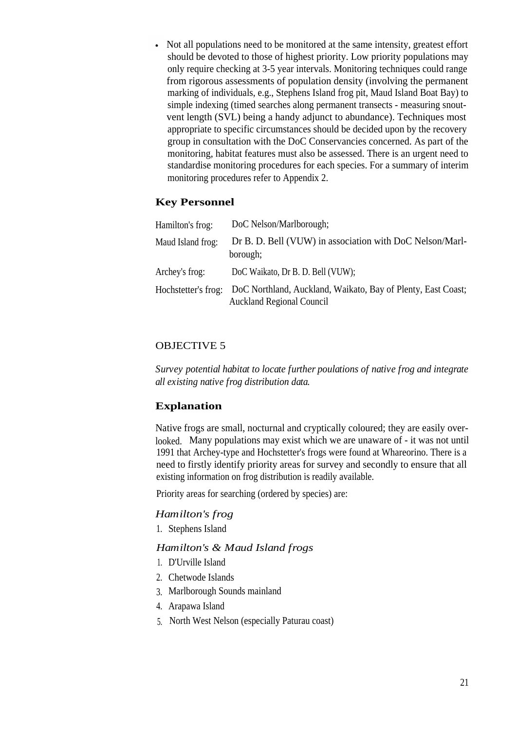Not all populations need to be monitored at the same intensity, greatest effort should be devoted to those of highest priority. Low priority populations may only require checking at 3-5 year intervals. Monitoring techniques could range from rigorous assessments of population density (involving the permanent marking of individuals, e.g., Stephens Island frog pit, Maud Island Boat Bay) to simple indexing (timed searches along permanent transects - measuring snoutvent length (SVL) being a handy adjunct to abundance). Techniques most appropriate to specific circumstances should be decided upon by the recovery group in consultation with the DoC Conservancies concerned. As part of the monitoring, habitat features must also be assessed. There is an urgent need to standardise monitoring procedures for each species. For a summary of interim monitoring procedures refer to Appendix 2.

#### **Key Personnel**

| Hamilton's frog:    | DoC Nelson/Marlborough;                                                                          |
|---------------------|--------------------------------------------------------------------------------------------------|
| Maud Island frog:   | Dr B. D. Bell (VUW) in association with DoC Nelson/Marl-<br>borough;                             |
| Archey's frog:      | DoC Waikato, Dr B. D. Bell (VUW);                                                                |
| Hochstetter's frog: | DoC Northland, Auckland, Waikato, Bay of Plenty, East Coast;<br><b>Auckland Regional Council</b> |

#### OBJECTIVE 5

*Survey potential habitat to locate further poulations of native frog and integrate all existing native frog distribution data.*

#### **Explanation**

Native frogs are small, nocturnal and cryptically coloured; they are easily overlooked. Many populations may exist which we are unaware of - it was not until 1991 that Archey-type and Hochstetter's frogs were found at Whareorino. There is a need to firstly identify priority areas for survey and secondly to ensure that all existing information on frog distribution is readily available.

Priority areas for searching (ordered by species) are:

#### *Hamilton's frog*

1. Stephens Island

#### *Hamilton's & Maud Island frogs*

- 1. D'Urville Island
- 2. Chetwode Islands
- 3. Marlborough Sounds mainland
- 4. Arapawa Island
- 5. North West Nelson (especially Paturau coast)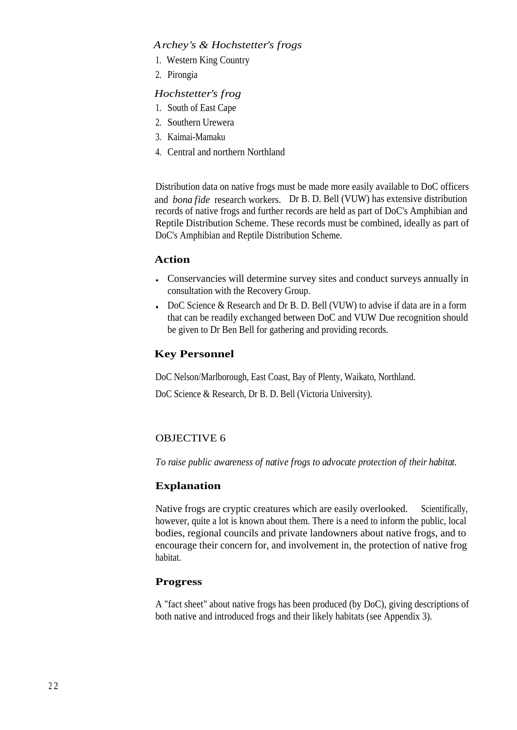#### *Archey's & Hochstetter's frogs*

- 1. Western King Country
- 2. Pirongia

#### *Hochstetter's frog*

- 1. South of East Cape
- 2. Southern Urewera
- 3. Kaimai-Mamaku
- 4. Central and northern Northland

Distribution data on native frogs must be made more easily available to DoC officers and *bona fide* research workers. Dr B. D. Bell (VUW) has extensive distribution records of native frogs and further records are held as part of DoC's Amphibian and Reptile Distribution Scheme. These records must be combined, ideally as part of DoC's Amphibian and Reptile Distribution Scheme.

#### **Action**

- Conservancies will determine survey sites and conduct surveys annually in consultation with the Recovery Group.
- DoC Science & Research and Dr B. D. Bell (VUW) to advise if data are in a form that can be readily exchanged between DoC and VUW Due recognition should be given to Dr Ben Bell for gathering and providing records.

#### **Key Personnel**

DoC Nelson/Marlborough, East Coast, Bay of Plenty, Waikato, Northland.

DoC Science & Research, Dr B. D. Bell (Victoria University).

#### OBJECTIVE 6

*To raise public awareness of native frogs to advocate protection of their habitat.*

#### **Explanation**

Native frogs are cryptic creatures which are easily overlooked. Scientifically, however, quite a lot is known about them. There is a need to inform the public, local bodies, regional councils and private landowners about native frogs, and to encourage their concern for, and involvement in, the protection of native frog habitat.

#### **Progress**

A "fact sheet" about native frogs has been produced (by DoC), giving descriptions of both native and introduced frogs and their likely habitats (see Appendix 3).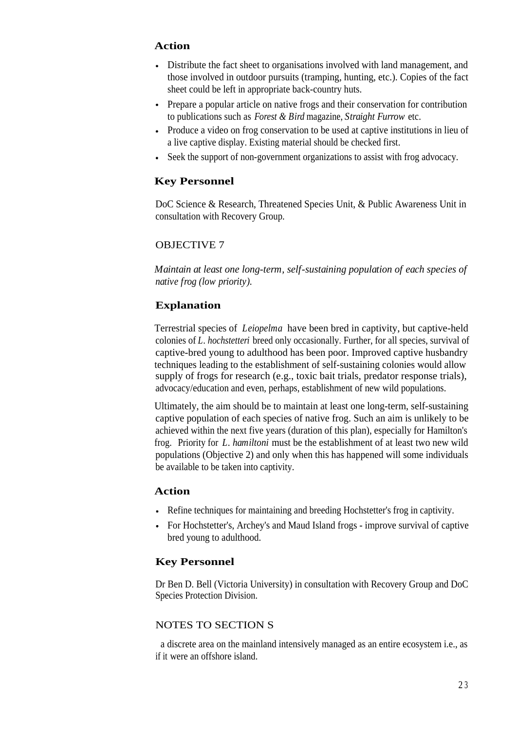#### **Action**

- Distribute the fact sheet to organisations involved with land management, and those involved in outdoor pursuits (tramping, hunting, etc.). Copies of the fact sheet could be left in appropriate back-country huts.
- Prepare a popular article on native frogs and their conservation for contribution to publications such as *Forest & Bird* magazine, *Straight Furrow* etc.
- Produce a video on frog conservation to be used at captive institutions in lieu of a live captive display. Existing material should be checked first.
- Seek the support of non-government organizations to assist with frog advocacy.

#### **Key Personnel**

DoC Science & Research, Threatened Species Unit, & Public Awareness Unit in consultation with Recovery Group.

#### OBJECTIVE 7

*Maintain at least one long-term, self-sustaining population of each species of native frog (low priority).*

#### **Explanation**

Terrestrial species of *Leiopelma* have been bred in captivity, but captive-held colonies of *L. hochstetteri* breed only occasionally. Further, for all species, survival of captive-bred young to adulthood has been poor. Improved captive husbandry techniques leading to the establishment of self-sustaining colonies would allow supply of frogs for research (e.g., toxic bait trials, predator response trials), advocacy/education and even, perhaps, establishment of new wild populations.

Ultimately, the aim should be to maintain at least one long-term, self-sustaining captive population of each species of native frog. Such an aim is unlikely to be achieved within the next five years (duration of this plan), especially for Hamilton's frog. Priority for *L. hamiltoni* must be the establishment of at least two new wild populations (Objective 2) and only when this has happened will some individuals be available to be taken into captivity.

#### **Action**

- Refine techniques for maintaining and breeding Hochstetter's frog in captivity.
- For Hochstetter's, Archey's and Maud Island frogs improve survival of captive bred young to adulthood.

#### **Key Personnel**

Dr Ben D. Bell (Victoria University) in consultation with Recovery Group and DoC Species Protection Division.

#### NOTES TO SECTION S

a discrete area on the mainland intensively managed as an entire ecosystem i.e., as if it were an offshore island.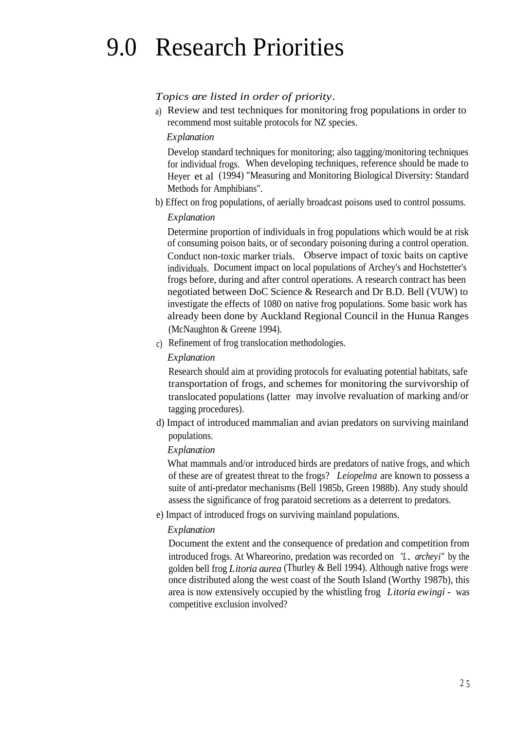## 9.0 Research Priorities

#### *Topics are listed in order of priority.*

a) Review and test techniques for monitoring frog populations in order to recommend most suitable protocols for NZ species.

#### *Explanation*

Develop standard techniques for monitoring; also tagging/monitoring techniques for individual frogs. When developing techniques, reference should be made to Heyer et al (1994) "Measuring and Monitoring Biological Diversity: Standard Methods for Amphibians".

b) Effect on frog populations, of aerially broadcast poisons used to control possums.

#### *Explanation*

Determine proportion of individuals in frog populations which would be at risk of consuming poison baits, or of secondary poisoning during a control operation. Conduct non-toxic marker trials. Observe impact of toxic baits on captive individuals. Document impact on local populations of Archey's and Hochstetter's frogs before, during and after control operations. A research contract has been negotiated between DoC Science & Research and Dr B.D. Bell (VUW) to investigate the effects of 1080 on native frog populations. Some basic work has already been done by Auckland Regional Council in the Hunua Ranges (McNaughton & Greene 1994).

c) Refinement of frog translocation methodologies.

#### *Explanation*

Research should aim at providing protocols for evaluating potential habitats, safe transportation of frogs, and schemes for monitoring the survivorship of translocated populations (latter may involve revaluation of marking and/or tagging procedures).

d) Impact of introduced mammalian and avian predators on surviving mainland populations.

#### *Explanation*

What mammals and/or introduced birds are predators of native frogs, and which of these are of greatest threat to the frogs? *Leiopelma* are known to possess a suite of anti-predator mechanisms (Bell 1985b, Green 1988b). Any study should assess the significance of frog paratoid secretions as a deterrent to predators.

e) Impact of introduced frogs on surviving mainland populations.

#### *Explanation*

Document the extent and the consequence of predation and competition from introduced frogs. At Whareorino, predation was recorded on *"L*. *archeyi"* by the golden bell frog *Litoria aurea* (Thurley & Bell 1994). Although native frogs were once distributed along the west coast of the South Island (Worthy 1987b), this area is now extensively occupied by the whistling frog *Litoria ewingi -* was competitive exclusion involved?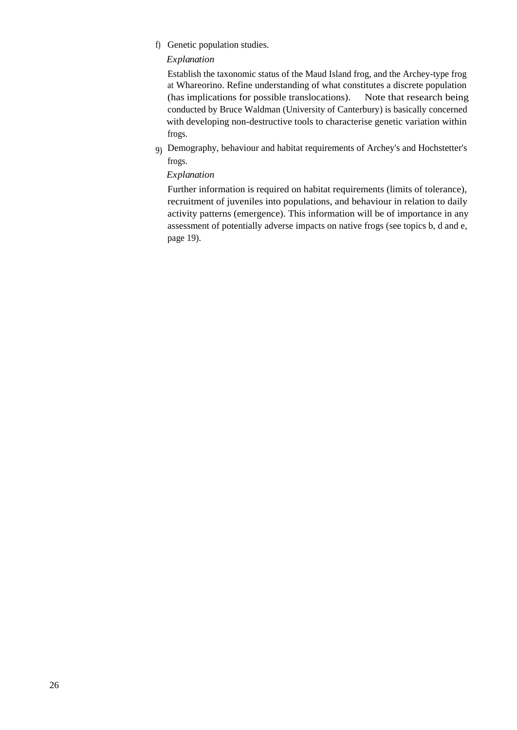f) Genetic population studies.

#### *Explanation*

Establish the taxonomic status of the Maud Island frog, and the Archey-type frog at Whareorino. Refine understanding of what constitutes a discrete population (has implications for possible translocations). Note that research being conducted by Bruce Waldman (University of Canterbury) is basically concerned with developing non-destructive tools to characterise genetic variation within frogs.

9) Demography, behaviour and habitat requirements of Archey's and Hochstetter's frogs.

#### *Explanation*

Further information is required on habitat requirements (limits of tolerance), recruitment of juveniles into populations, and behaviour in relation to daily activity patterns (emergence). This information will be of importance in any assessment of potentially adverse impacts on native frogs (see topics b, d and e, page 19).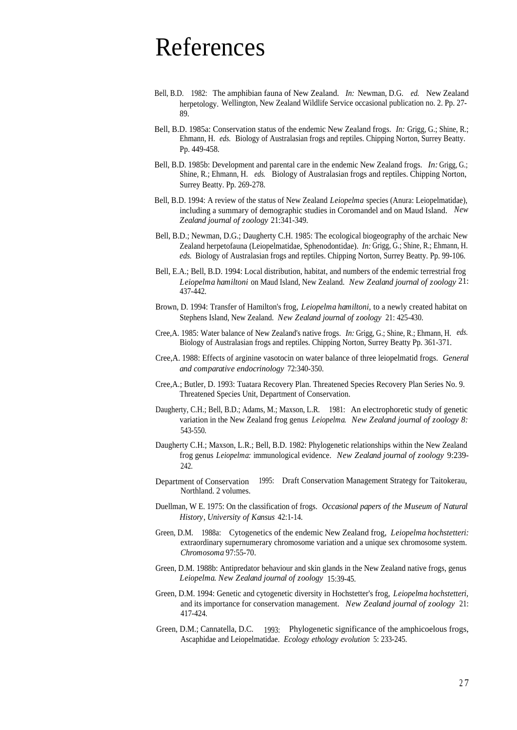### References

- Bell, B.D. 1982: The amphibian fauna of New Zealand. *In:* Newman, D.G. *ed.* New Zealand herpetology. Wellington, New Zealand Wildlife Service occasional publication no. 2. Pp. 27- 89.
- Bell, B.D. 1985a: Conservation status of the endemic New Zealand frogs. *In:* Grigg, G.; Shine, R.; Ehmann, H. *eds.* Biology of Australasian frogs and reptiles. Chipping Norton, Surrey Beatty. Pp. 449-458.
- Bell, B.D. 1985b: Development and parental care in the endemic New Zealand frogs. *In:* Grigg, G.; Shine, R.; Ehmann, H. *eds.* Biology of Australasian frogs and reptiles. Chipping Norton, Surrey Beatty. Pp. 269-278.
- Bell, B.D. 1994: A review of the status of New Zealand *Leiopelma* species (Anura: Leiopelmatidae), including a summary of demographic studies in Coromandel and on Maud Island. *New Zealand journal of zoology* 21:341-349.
- Bell, B.D.; Newman, D.G.; Daugherty C.H. 1985: The ecological biogeography of the archaic New Zealand herpetofauna (Leiopelmatidae, Sphenodontidae). *In:* Grigg, G.; Shine, R.; Ehmann, H. *eds.* Biology of Australasian frogs and reptiles. Chipping Norton, Surrey Beatty. Pp. 99-106.
- Bell, E.A.; Bell, B.D. 1994: Local distribution, habitat, and numbers of the endemic terrestrial frog *Leiopelma hamiltoni* on Maud Island, New Zealand. *New Zealand journal of zoology* 21: 437-442.
- Brown, D. 1994: Transfer of Hamilton's frog, *Leiopelma hamiltoni,* to a newly created habitat on Stephens Island, New Zealand. *New Zealand journal of zoology* 21: 425-430.
- Cree,A. 1985: Water balance of New Zealand's native frogs. *In:* Grigg, G.; Shine, R.; Ehmann, H. *eds.* Biology of Australasian frogs and reptiles. Chipping Norton, Surrey Beatty Pp. 361-371.
- Cree,A. 1988: Effects of arginine vasotocin on water balance of three leiopelmatid frogs. *General and comparative endocrinology* 72:340-350.
- Cree,A.; Butler, D. 1993: Tuatara Recovery Plan. Threatened Species Recovery Plan Series No. 9. Threatened Species Unit, Department of Conservation.
- Daugherty, C.H.; Bell, B.D.; Adams, M.; Maxson, L.R. 1981: An electrophoretic study of genetic variation in the New Zealand frog genus *Leiopelma. New Zealand journal of zoology 8:* 543-550.
- Daugherty C.H.; Maxson, L.R.; Bell, B.D. 1982: Phylogenetic relationships within the New Zealand frog genus *Leiopelma:* immunological evidence. *New Zealand journal of zoology* 9:239- 242.
- Department of Conservation 1995: Draft Conservation Management Strategy for Taitokerau, Northland. 2 volumes.
- Duellman, W E. 1975: On the classification of frogs. *Occasional papers of the Museum of Natural History, University of Kansus* 42:1-14.
- Green, D.M. 1988a: Cytogenetics of the endemic New Zealand frog, *Leiopelma hochstetteri:* extraordinary supernumerary chromosome variation and a unique sex chromosome system. *Chromosoma* 97:55-70.
- Green, D.M. 1988b: Antipredator behaviour and skin glands in the New Zealand native frogs, genus *Leiopelma. New Zealand journal of zoology* 15:39-45.
- Green, D.M. 1994: Genetic and cytogenetic diversity in Hochstetter's frog, *Leiopelma hochstetteri,* and its importance for conservation management. *New Zealand journal of zoology* 21: 417-424.
- Green, D.M.; Cannatella, D.C. 1993: Phylogenetic significance of the amphicoelous frogs, Ascaphidae and Leiopelmatidae. *Ecology ethology evolution* 5: 233-245.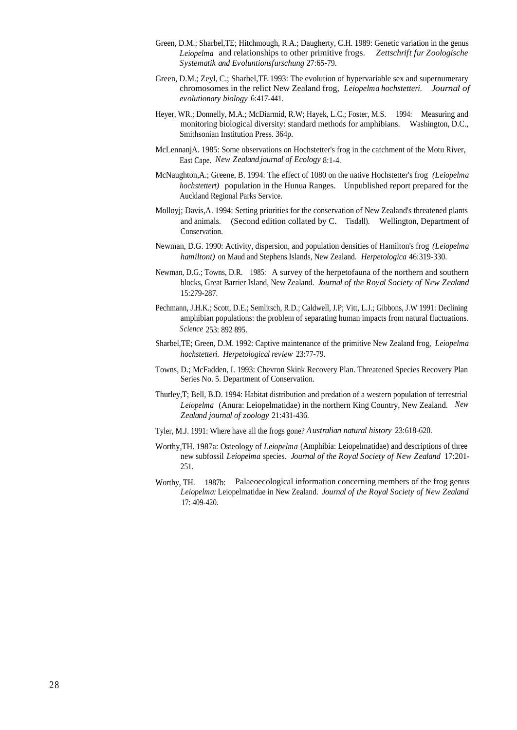- Green, D.M.; Sharbel,TE; Hitchmough, R.A.; Daugherty, C.H. 1989: Genetic variation in the genus *Leiopelma* and relationships to other primitive frogs. *Zettschrift fur Zoologische Systematik and Evoluntionsfurschung* 27:65-79.
- Green, D.M.; Zeyl, C.; Sharbel,TE 1993: The evolution of hypervariable sex and supernumerary chromosomes in the relict New Zealand frog, *Leiopelma hochstetteri. Journal of evolutionary biology* 6:417-441.
- Heyer, WR.; Donnelly, M.A.; McDiarmid, R.W; Hayek, L.C.; Foster, M.S. 1994: Measuring and monitoring biological diversity: standard methods for amphibians. Washington, D.C., Smithsonian Institution Press. 364p.
- McLennanjA. 1985: Some observations on Hochstetter's frog in the catchment of the Motu River, East Cape. *New Zealand.journal of Ecology* 8:1-4.
- McNaughton,A.; Greene, B. 1994: The effect of 1080 on the native Hochstetter's frog *(Leiopelma hochstettert)* population in the Hunua Ranges. Unpublished report prepared for the Auckland Regional Parks Service.
- Molloyj; Davis,A. 1994: Setting priorities for the conservation of New Zealand's threatened plants and animals. (Second edition collated by C. Tisdall). Wellington, Department of Conservation.
- Newman, D.G. 1990: Activity, dispersion, and population densities of Hamilton's frog *(Leiopelma hamiltont)* on Maud and Stephens Islands, New Zealand. *Herpetologica* 46:319-330.
- Newman, D.G.; Towns, D.R. 1985: A survey of the herpetofauna of the northern and southern blocks, Great Barrier Island, New Zealand. *Journal of the Royal Society of New Zealand* 15:279-287.
- Pechmann, J.H.K.; Scott, D.E.; Semlitsch, R.D.; Caldwell, J.P; Vitt, L.J.; Gibbons, J.W 1991: Declining amphibian populations: the problem of separating human impacts from natural fluctuations. *Science* 253: 892 -895.
- Sharbel,TE; Green, D.M. 1992: Captive maintenance of the primitive New Zealand frog, *Leiopelma hochstetteri. Herpetological review* 23:77-79.
- Towns, D.; McFadden, I. 1993: Chevron Skink Recovery Plan. Threatened Species Recovery Plan Series No. 5. Department of Conservation.
- Thurley,T; Bell, B.D. 1994: Habitat distribution and predation of a western population of terrestrial *Leiopelma* (Anura: Leiopelmatidae) in the northern King Country, New Zealand. *New Zealand journal of zoology* 21:431-436.
- Tyler, M.J. 1991: Where have all the frogs gone? *Australian natural history* 23:618-620.
- Worthy,TH. 1987a: Osteology of *Leiopelma* (Amphibia: Leiopelmatidae) and descriptions of three new subfossil *Leiopelma* species. *Journal of the Royal Society of New Zealand* 17:201- 251.
- Worthy, TH. 1987b: Palaeoecological information concerning members of the frog genus *Leiopelma:* Leiopelmatidae in New Zealand. *Journal of the Royal Society of New Zealand* 17: 409-420.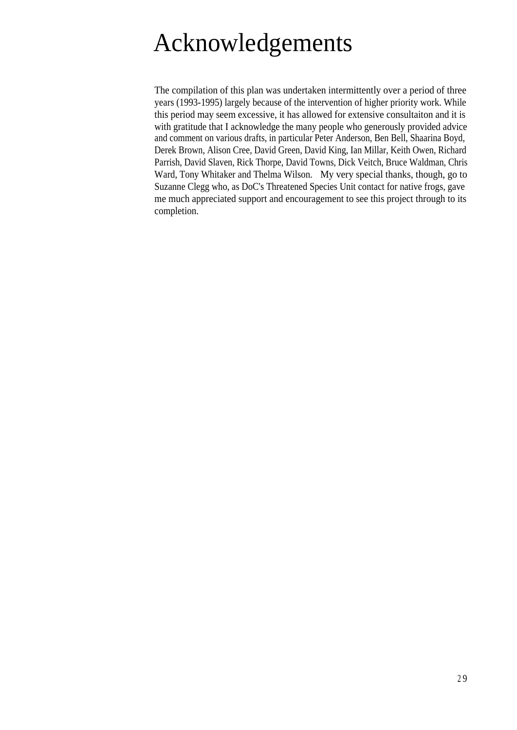## Acknowledgements

The compilation of this plan was undertaken intermittently over a period of three years (1993-1995) largely because of the intervention of higher priority work. While this period may seem excessive, it has allowed for extensive consultaiton and it is with gratitude that I acknowledge the many people who generously provided advice and comment on various drafts, in particular Peter Anderson, Ben Bell, Shaarina Boyd, Derek Brown, Alison Cree, David Green, David King, Ian Millar, Keith Owen, Richard Parrish, David Slaven, Rick Thorpe, David Towns, Dick Veitch, Bruce Waldman, Chris Ward, Tony Whitaker and Thelma Wilson. My very special thanks, though, go to Suzanne Clegg who, as DoC's Threatened Species Unit contact for native frogs, gave me much appreciated support and encouragement to see this project through to its completion.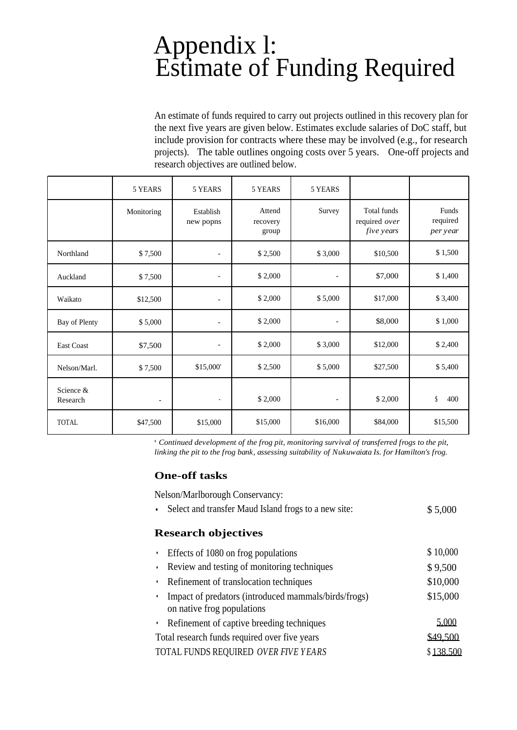### Appendix l: Estimate of Funding Required

An estimate of funds required to carry out projects outlined in this recovery plan for the next five years are given below. Estimates exclude salaries of DoC staff, but include provision for contracts where these may be involved (e.g., for research projects). The table outlines ongoing costs over 5 years. One-off projects and research objectives are outlined below.

|                       | 5 YEARS                  | 5 YEARS                  | 5 YEARS                     | 5 YEARS                  |                                            |                               |
|-----------------------|--------------------------|--------------------------|-----------------------------|--------------------------|--------------------------------------------|-------------------------------|
|                       | Monitoring               | Establish<br>new popns   | Attend<br>recovery<br>group | Survey                   | Total funds<br>required over<br>five years | Funds<br>required<br>per year |
| Northland             | \$7,500                  | $\overline{\phantom{a}}$ | \$2,500                     | \$3,000                  | \$10,500                                   | \$1,500                       |
| Auckland              | \$7,500                  | $\overline{\phantom{a}}$ | \$2,000                     | $\overline{\phantom{0}}$ | \$7,000                                    | \$1,400                       |
| Waikato               | \$12,500                 | $\qquad \qquad -$        | \$2,000                     | \$5,000                  | \$17,000                                   | \$3,400                       |
| Bay of Plenty         | \$5,000                  | $\overline{\phantom{a}}$ | \$2,000                     | L,                       | \$8,000                                    | \$1,000                       |
| East Coast            | \$7,500                  | $\overline{\phantom{a}}$ | \$2,000                     | \$3,000                  | \$12,000                                   | \$2,400                       |
| Nelson/Marl.          | \$7,500                  | \$15,000                 | \$2,500                     | \$5,000                  | \$27,500                                   | \$5,400                       |
| Science &<br>Research | $\overline{\phantom{a}}$ | $\overline{\phantom{a}}$ | \$2,000                     | $\overline{a}$           | \$2,000                                    | \$<br>400                     |
| <b>TOTAL</b>          | \$47,500                 | \$15,000                 | \$15,000                    | \$16,000                 | \$84,000                                   | \$15,500                      |

\* *Continued development of the frog pit, monitoring survival of transferred frogs to the pit, linking the pit to the frog bank, assessing suitability of Nukuwaiata Is. for Hamilton's frog.*

#### **One-off tasks**

Nelson/Marlborough Conservancy:

• Select and transfer Maud Island frogs to a new site:  $$5,000$ 

#### **Research objectives**

• Effects of 1080 on frog populations  $$10,000$ • Review and testing of monitoring techniques  $$ 9,500$ • Refinement of translocation techniques \$10,000 • Impact of predators (introduced mammals/birds/frogs) \$15,000 on native frog populations • Refinement of captive breeding techniques 5,000 Total research funds required over five years TOTAL FUNDS REQUIRED *OVER FIVE YEARS* \$49,500 \$ 138.500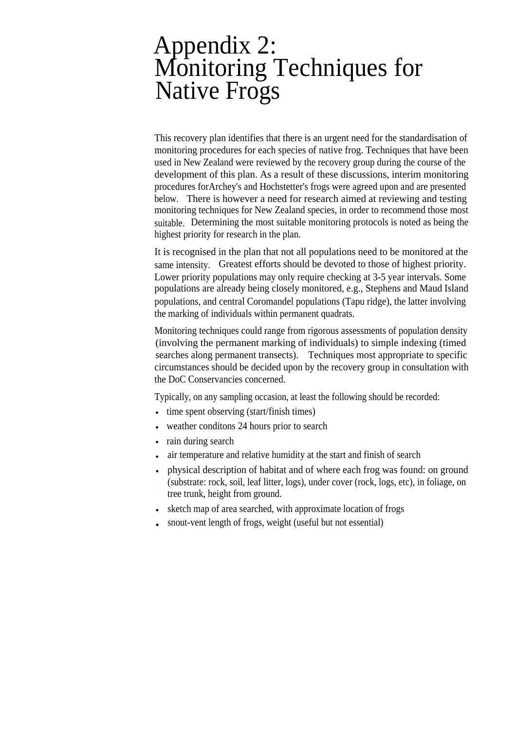### Appendix 2: Monitoring Techniques for Native Frogs

This recovery plan identifies that there is an urgent need for the standardisation of monitoring procedures for each species of native frog. Techniques that have been used in New Zealand were reviewed by the recovery group during the course of the development of this plan. As a result of these discussions, interim monitoring procedures forArchey's and Hochstetter's frogs were agreed upon and are presented below. There is however a need for research aimed at reviewing and testing monitoring techniques for New Zealand species, in order to recommend those most suitable. Determining the most suitable monitoring protocols is noted as being the highest priority for research in the plan.

It is recognised in the plan that not all populations need to be monitored at the same intensity. Greatest efforts should be devoted to those of highest priority. Lower priority populations may only require checking at 3-5 year intervals. Some populations are already being closely monitored, e.g., Stephens and Maud Island populations, and central Coromandel populations (Tapu ridge), the latter involving the marking of individuals within permanent quadrats.

Monitoring techniques could range from rigorous assessments of population density (involving the permanent marking of individuals) to simple indexing (timed searches along permanent transects). Techniques most appropriate to specific circumstances should be decided upon by the recovery group in consultation with the DoC Conservancies concerned.

Typically, on any sampling occasion, at least the following should be recorded:

- time spent observing (start/finish times)  $\bullet$
- weather conditons 24 hours prior to search
- rain during search
- air temperature and relative humidity at the start and finish of search
- physical description of habitat and of where each frog was found: on ground (substrate: rock, soil, leaf litter, logs), under cover (rock, logs, etc), in foliage, on tree trunk, height from ground.
- sketch map of area searched, with approximate location of frogs
- snout-vent length of frogs, weight (useful but not essential)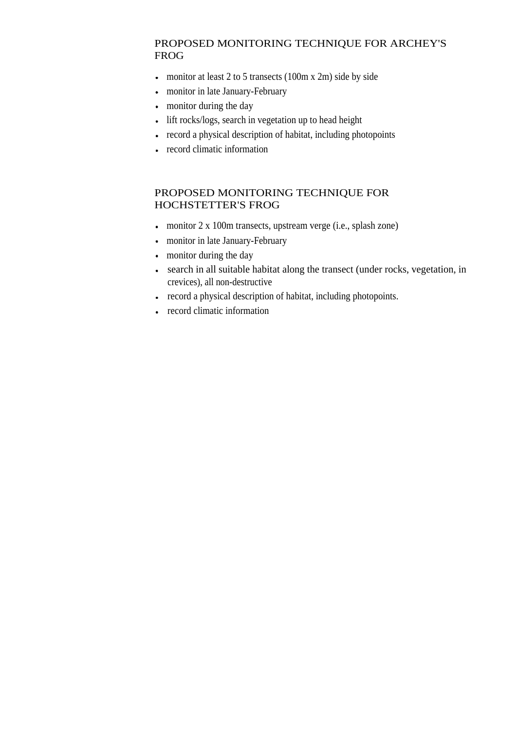#### PROPOSED MONITORING TECHNIQUE FOR ARCHEY'S FROG

- monitor at least 2 to 5 transects (100m x 2m) side by side
- monitor in late January-February  $\ddot{\phantom{0}}$
- monitor during the day  $\bullet$
- lift rocks/logs, search in vegetation up to head height  $\bullet$
- record a physical description of habitat, including photopoints  $\ddot{\phantom{0}}$
- record climatic information

#### PROPOSED MONITORING TECHNIQUE FOR HOCHSTETTER'S FROG

- monitor 2 x 100m transects, upstream verge (i.e., splash zone)
- monitor in late January-February
- monitor during the day
- search in all suitable habitat along the transect (under rocks, vegetation, in crevices), all non-destructive
- record a physical description of habitat, including photopoints.
- record climatic information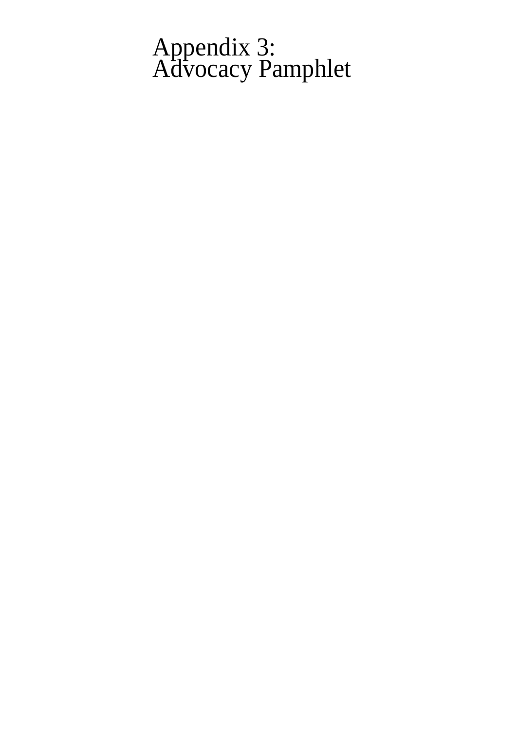### Appendix 3: Advocacy Pamphlet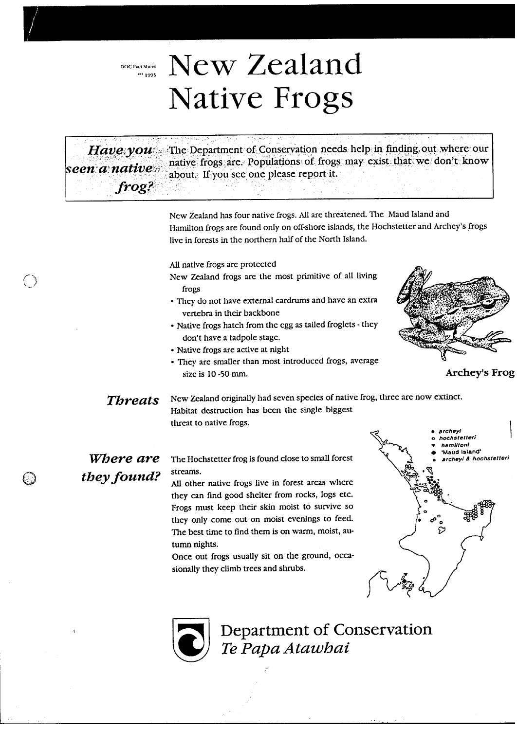DOC Fact Sheet<br> $\frac{1995}{1}$ 

 $\bigcirc$ 

 $\bigcirc$ 

# New Zealand Native Frogs

| Have you<br>seen a native<br>frog? | The Department of Conservation needs help in finding out where our<br>native frogs are. Populations of frogs may exist that we don't know<br>about. If you see one please report it.                                                                                                                                                                                                                                                  |
|------------------------------------|---------------------------------------------------------------------------------------------------------------------------------------------------------------------------------------------------------------------------------------------------------------------------------------------------------------------------------------------------------------------------------------------------------------------------------------|
|                                    | New Zealand has four native frogs. All are threatened. The Maud Island and<br>Hamilton frogs are found only on off-shore islands, the Hochstetter and Archey's frogs<br>live in forests in the northern half of the North Island.                                                                                                                                                                                                     |
|                                    | All native frogs are protected<br>New Zealand frogs are the most primitive of all living<br>frogs<br>· They do not have external cardrums and have an extra<br>vertebra in their backbone<br>• Native frogs hatch from the egg as tailed froglets - they<br>don't have a tadpole stage.<br>· Native frogs are active at night<br>· They are smaller than most introduced frogs, average<br><b>Archey's Frog</b><br>size is 10 -50 mm. |
| <b>Threats</b>                     | New Zealand originally had seven species of native frog, three are now extinct.<br>Habitat destruction has been the single biggest<br>threat to native frogs.<br>chevi<br>chstetteri                                                                                                                                                                                                                                                  |
| Where are                          | amiltoni<br>Maud Island'<br>The Hochstetter frog is found close to small forest<br>srcheyi & hochstetteri                                                                                                                                                                                                                                                                                                                             |
| they found?                        | streams.<br>All other native frogs live in forest areas where<br>they can find good shelter from rocks, logs etc.<br>Frogs must keep their skin moist to survive so<br>they only come out on moist evenings to feed.<br>ಞ<br>D<br>The best time to find them is on warm, moist, au-<br>tumn nights.<br>Once out frogs usually sit on the ground, occa-<br>sionally they climb trees and shrubs.                                       |

Department of Conservation<br>Te Papa Atawhai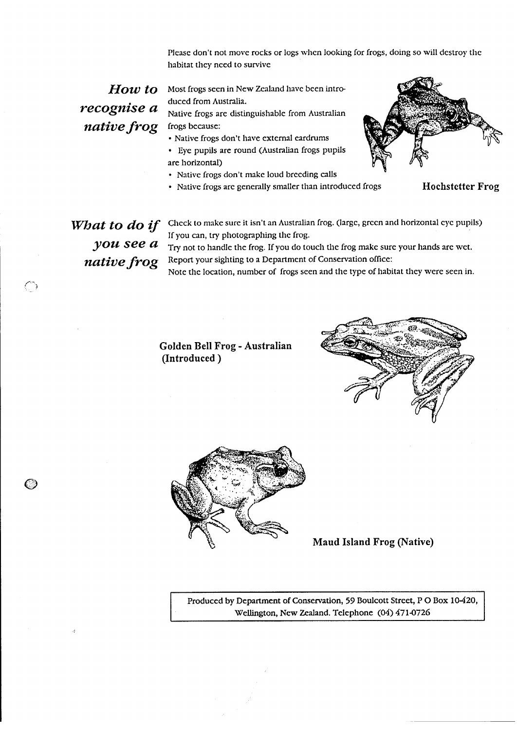Please don't not move rocks or logs when looking for frogs, doing so will destroy the habitat they need to survive

recognise a native frog

 $How to$  Most frogs seen in New Zealand have been introduced from Australia.

> Native frogs are distinguishable from Australian frogs because:

- Native frogs don't have external eardrums
- · Eye pupils are round (Australian frogs pupils are horizontal)
- Native frogs don't make loud breeding calls
- · Native frogs are generally smaller than introduced frogs



**Hochstetter Frog** 

you see a native frog

◯

**What to do if** Check to make sure it isn't an Australian frog. (large, green and horizontal eye pupils) If you can, try photographing the frog.

> Try not to handle the frog. If you do touch the frog make sure your hands are wet. Report your sighting to a Department of Conservation office:

Note the location, number of frogs seen and the type of habitat they were seen in.

Golden Bell Frog - Australian (Introduced)





**Maud Island Frog (Native)** 

Produced by Department of Conservation, 59 Boulcott Street, P O Box 10-420, Wellington, New Zealand. Telephone (04) 471-0726